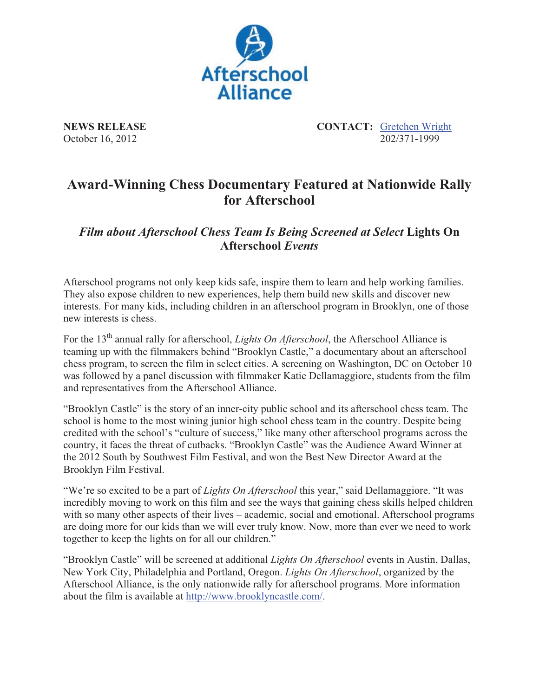

**NEWS RELEASE CONTACT:** Gretchen Wright October 16, 2012 202/371-1999

## **Award-Winning Chess Documentary Featured at Nationwide Rally for Afterschool**

*Film about Afterschool Chess Team Is Being Screened at Select* **Lights On Afterschool** *Events*

Afterschool programs not only keep kids safe, inspire them to learn and help working families. They also expose children to new experiences, help them build new skills and discover new interests. For many kids, including children in an afterschool program in Brooklyn, one of those new interests is chess.

For the 13<sup>th</sup> annual rally for afterschool, *Lights On Afterschool*, the Afterschool Alliance is teaming up with the filmmakers behind "Brooklyn Castle," a documentary about an afterschool chess program, to screen the film in select cities. A screening on Washington, DC on October 10 was followed by a panel discussion with filmmaker Katie Dellamaggiore, students from the film and representatives from the Afterschool Alliance.

"Brooklyn Castle" is the story of an inner-city public school and its afterschool chess team. The school is home to the most wining junior high school chess team in the country. Despite being credited with the school's "culture of success," like many other afterschool programs across the country, it faces the threat of cutbacks. "Brooklyn Castle" was the Audience Award Winner at the 2012 South by Southwest Film Festival, and won the Best New Director Award at the Brooklyn Film Festival.

"We're so excited to be a part of *Lights On Afterschool* this year," said Dellamaggiore. "It was incredibly moving to work on this film and see the ways that gaining chess skills helped children with so many other aspects of their lives – academic, social and emotional. Afterschool programs are doing more for our kids than we will ever truly know. Now, more than ever we need to work together to keep the lights on for all our children."

"Brooklyn Castle" will be screened at additional *Lights On Afterschool* events in Austin, Dallas, New York City, Philadelphia and Portland, Oregon. *Lights On Afterschool*, organized by the Afterschool Alliance, is the only nationwide rally for afterschool programs. More information about the film is available at http://www.brooklyncastle.com/.